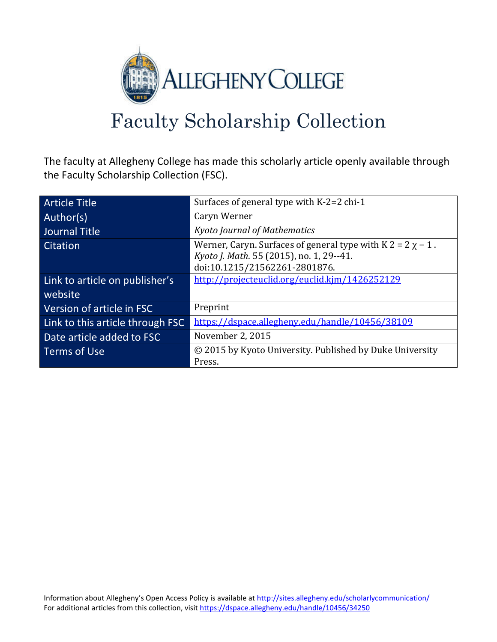

# Faculty Scholarship Collection

The faculty at Allegheny College has made this scholarly article openly available through the Faculty Scholarship Collection (FSC).

| <b>Article Title</b>                      | Surfaces of general type with $K-2=2$ chi-1                                                                                                    |
|-------------------------------------------|------------------------------------------------------------------------------------------------------------------------------------------------|
| Author(s)                                 | Caryn Werner                                                                                                                                   |
| <b>Journal Title</b>                      | <b>Kyoto Journal of Mathematics</b>                                                                                                            |
| Citation                                  | Werner, Caryn. Surfaces of general type with $K 2 = 2 \chi - 1$ .<br>Kyoto J. Math. 55 (2015), no. 1, 29--41.<br>doi:10.1215/21562261-2801876. |
| Link to article on publisher's<br>website | http://projecteuclid.org/euclid.kjm/1426252129                                                                                                 |
| Version of article in FSC                 | Preprint                                                                                                                                       |
| Link to this article through FSC          | https://dspace.allegheny.edu/handle/10456/38109                                                                                                |
| Date article added to FSC                 | November 2, 2015                                                                                                                               |
| Terms of Use                              | © 2015 by Kyoto University. Published by Duke University<br>Press.                                                                             |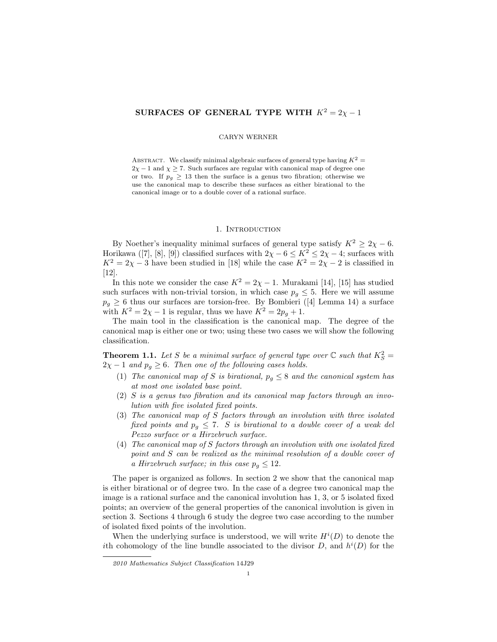# SURFACES OF GENERAL TYPE WITH  $K^2 = 2\chi - 1$

#### CARYN WERNER

ABSTRACT. We classify minimal algebraic surfaces of general type having  $K^2 =$  $2\chi - 1$  and  $\chi \ge 7$ . Such surfaces are regular with canonical map of degree one or two. If  $p_q \geq 13$  then the surface is a genus two fibration; otherwise we use the canonical map to describe these surfaces as either birational to the canonical image or to a double cover of a rational surface.

#### 1. INTRODUCTION

By Noether's inequality minimal surfaces of general type satisfy  $K^2 \ge 2\chi - 6$ . Horikawa ([7], [8], [9]) classified surfaces with  $2\chi - 6 \leq K^2 \leq 2\chi - 4$ ; surfaces with  $K^2 = 2\chi - 3$  have been studied in [18] while the case  $K^2 = 2\chi - 2$  is classified in [12].

In this note we consider the case  $K^2 = 2\chi - 1$ . Murakami [14], [15] has studied such surfaces with non-trivial torsion, in which case  $p_q \leq 5$ . Here we will assume  $p_g \geq 6$  thus our surfaces are torsion-free. By Bombieri ([4] Lemma 14) a surface with  $K^2 = 2\chi - 1$  is regular, thus we have  $K^2 = 2p_g + 1$ .

The main tool in the classification is the canonical map. The degree of the canonical map is either one or two; using these two cases we will show the following classification.

**Theorem 1.1.** Let S be a minimal surface of general type over  $\mathbb C$  such that  $K_S^2 =$  $2\chi - 1$  and  $p_g \geq 6$ . Then one of the following cases holds.

- (1) The canonical map of S is birational,  $p_q \leq 8$  and the canonical system has at most one isolated base point.
- (2) S is a genus two fibration and its canonical map factors through an involution with five isolated fixed points.
- (3) The canonical map of S factors through an involution with three isolated fixed points and  $p_q \leq 7$ . S is birational to a double cover of a weak del Pezzo surface or a Hirzebruch surface.
- (4) The canonical map of S factors through an involution with one isolated fixed point and S can be realized as the minimal resolution of a double cover of a Hirzebruch surface; in this case  $p_q \leq 12$ .

The paper is organized as follows. In section 2 we show that the canonical map is either birational or of degree two. In the case of a degree two canonical map the image is a rational surface and the canonical involution has 1, 3, or 5 isolated fixed points; an overview of the general properties of the canonical involution is given in section 3. Sections 4 through 6 study the degree two case according to the number of isolated fixed points of the involution.

When the underlying surface is understood, we will write  $H^{i}(D)$  to denote the ith cohomology of the line bundle associated to the divisor  $D$ , and  $h^{i}(D)$  for the

<sup>2010</sup> Mathematics Subject Classification 14J29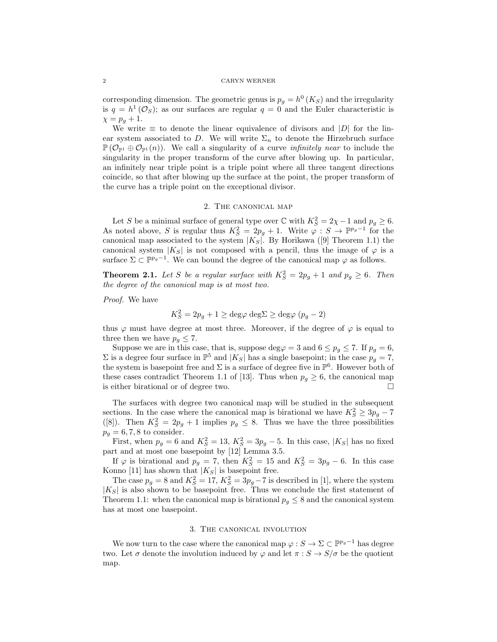#### 2 CARYN WERNER

corresponding dimension. The geometric genus is  $p_g = h^0(K_S)$  and the irregularity is  $q = h^1(\mathcal{O}_S)$ ; as our surfaces are regular  $q = 0$  and the Euler characteristic is  $\chi = p_q + 1.$ 

We write  $\equiv$  to denote the linear equivalence of divisors and  $|D|$  for the linear system associated to D. We will write  $\Sigma_n$  to denote the Hirzebruch surface  $P(\mathcal{O}_{\mathbb{P}^1} \oplus \mathcal{O}_{\mathbb{P}^1}(n))$ . We call a singularity of a curve *infinitely near* to include the singularity in the proper transform of the curve after blowing up. In particular, an infinitely near triple point is a triple point where all three tangent directions coincide, so that after blowing up the surface at the point, the proper transform of the curve has a triple point on the exceptional divisor.

#### 2. The canonical map

Let S be a minimal surface of general type over  $\mathbb C$  with  $K_S^2 = 2\chi - 1$  and  $p_g \ge 6$ . As noted above, S is regular thus  $K_S^2 = 2p_g + 1$ . Write  $\varphi : S \to \mathbb{P}^{p_g-1}$  for the canonical map associated to the system  $|K_S|$ . By Horikawa ([9] Theorem 1.1) the canonical system  $|K_S|$  is not composed with a pencil, thus the image of  $\varphi$  is a surface  $\Sigma \subset \mathbb{P}^{p_g-1}$ . We can bound the degree of the canonical map  $\varphi$  as follows.

**Theorem 2.1.** Let S be a regular surface with  $K_S^2 = 2p_g + 1$  and  $p_g \ge 6$ . Then the degree of the canonical map is at most two.

Proof. We have

$$
K_S^2 = 2p_g + 1 \ge \text{deg}\varphi \text{ deg}\Sigma \ge \text{deg}\varphi (p_g - 2)
$$

thus  $\varphi$  must have degree at most three. Moreover, if the degree of  $\varphi$  is equal to three then we have  $p_g \leq 7$ .

Suppose we are in this case, that is, suppose deg $\varphi = 3$  and  $6 \leq p_g \leq 7$ . If  $p_g = 6$ ,  $\Sigma$  is a degree four surface in  $\mathbb{P}^5$  and  $|K_S|$  has a single basepoint; in the case  $p_g = 7$ , the system is basepoint free and  $\Sigma$  is a surface of degree five in  $\mathbb{P}^6$ . However both of these cases contradict Theorem 1.1 of [13]. Thus when  $p_q \geq 6$ , the canonical map is either birational or of degree two.

The surfaces with degree two canonical map will be studied in the subsequent sections. In the case where the canonical map is birational we have  $K_S^2 \geq 3p_g - 7$ ([8]). Then  $K_S^2 = 2p_g + 1$  implies  $p_g \leq 8$ . Thus we have the three possibilities  $p_g = 6, 7, 8$  to consider.

First, when  $p_g = 6$  and  $K_S^2 = 13$ ,  $K_S^2 = 3p_g - 5$ . In this case,  $|K_S|$  has no fixed part and at most one basepoint by [12] Lemma 3.5.

If  $\varphi$  is birational and  $p_g = 7$ , then  $K_S^2 = 15$  and  $K_S^2 = 3p_g - 6$ . In this case Konno [11] has shown that  $|K_S|$  is basepoint free.

The case  $p_g = 8$  and  $K_S^2 = 17$ ,  $K_S^2 = 3p_g - 7$  is described in [1], where the system  $|K_S|$  is also shown to be basepoint free. Thus we conclude the first statement of Theorem 1.1: when the canonical map is birational  $p_q \leq 8$  and the canonical system has at most one basepoint.

#### 3. The canonical involution

We now turn to the case where the canonical map  $\varphi : S \to \Sigma \subset \mathbb{P}^{p_g-1}$  has degree two. Let  $\sigma$  denote the involution induced by  $\varphi$  and let  $\pi : S \to S/\sigma$  be the quotient map.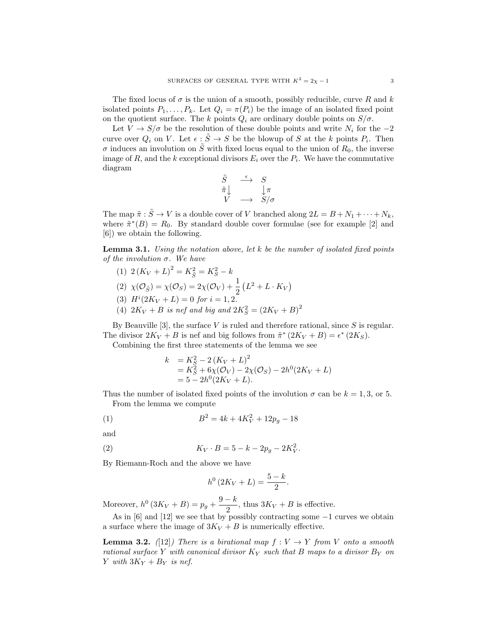The fixed locus of  $\sigma$  is the union of a smooth, possibly reducible, curve R and k isolated points  $P_1, \ldots, P_k$ . Let  $Q_i = \pi(P_i)$  be the image of an isolated fixed point on the quotient surface. The k points  $Q_i$  are ordinary double points on  $S/\sigma$ .

Let  $V \to S/\sigma$  be the resolution of these double points and write  $N_i$  for the  $-2$ curve over  $Q_i$  on V. Let  $\epsilon : \tilde{S} \to S$  be the blowup of S at the k points  $P_i$ . Then  $\sigma$  induces an involution on  $\tilde{S}$  with fixed locus equal to the union of  $R_0$ , the inverse image of  $R$ , and the k exceptional divisors  $E_i$  over the  $P_i$ . We have the commutative diagram

$$
\begin{array}{ccc}\n\tilde{S} & \stackrel{\epsilon}{\longrightarrow} & S \\
\tilde{\pi}\downarrow & & \downarrow \pi \\
V & \longrightarrow & S/\sigma\n\end{array}
$$

The map  $\tilde{\pi}: \tilde{S} \to V$  is a double cover of V branched along  $2L = B + N_1 + \cdots + N_k$ , where  $\tilde{\pi}^*(B) = R_0$ . By standard double cover formulae (see for example [2] and [6]) we obtain the following.

**Lemma 3.1.** Using the notation above, let  $k$  be the number of isolated fixed points of the involution  $\sigma$ . We have

- (1)  $2(K_V + L)^2 = K_{\tilde{S}}^2 = K_S^2 k$
- (2)  $\chi(\mathcal{O}_{\tilde{S}}) = \chi(\mathcal{O}_S) = 2\chi(\mathcal{O}_V) + \frac{1}{2}(L^2 + L \cdot K_V)$
- (3)  $H^{i}(2K_{V}+L)=0$  for  $i=1,2$ .
- (4)  $2K_V + B$  is nef and big and  $2K_S^2 = (2K_V + B)^2$

By Beauville [3], the surface  $V$  is ruled and therefore rational, since  $S$  is regular. The divisor  $2K_V + B$  is nef and big follows from  $\tilde{\pi}^* (2K_V + B) = \epsilon^* (2K_S)$ . Combining the first three statements of the lemma we see

$$
k = K_S^2 - 2(K_V + L)^2
$$
  
=  $K_S^2 + 6\chi(\mathcal{O}_V) - 2\chi(\mathcal{O}_S) - 2h^0(2K_V + L)$   
=  $5 - 2h^0(2K_V + L)$ .

Thus the number of isolated fixed points of the involution  $\sigma$  can be  $k = 1, 3$ , or 5. From the lemma we compute

(1) 
$$
B^2 = 4k + 4K_V^2 + 12p_g - 18
$$

and

(2) 
$$
K_V \cdot B = 5 - k - 2p_g - 2K_V^2.
$$

By Riemann-Roch and the above we have

$$
h^0(2K_V + L) = \frac{5-k}{2}.
$$

Moreover,  $h^0(3K_V + B) = p_g + \frac{9-k}{2}$  $\frac{\pi}{2}$ , thus  $3K_V + B$  is effective.

As in [6] and [12] we see that by possibly contracting some −1 curves we obtain a surface where the image of  $3K_V + B$  is numerically effective.

**Lemma 3.2.** ([12]) There is a birational map  $f: V \to Y$  from V onto a smooth rational surface Y with canonical divisor  $K_Y$  such that B maps to a divisor  $B_Y$  on Y with  $3K_Y + B_Y$  is nef.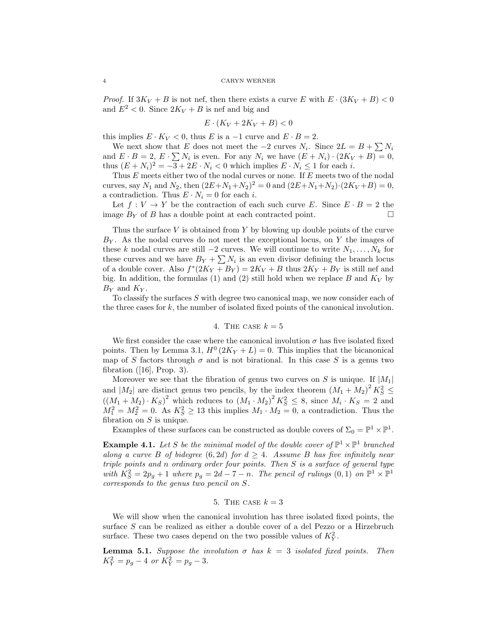*Proof.* If  $3K_V + B$  is not nef, then there exists a curve E with  $E \cdot (3K_V + B) < 0$ and  $E^2 < 0$ . Since  $2K_V + B$  is nef and big and

$$
E \cdot (K_V + 2K_V + B) < 0
$$

this implies  $E \cdot K_V < 0$ , thus E is a -1 curve and  $E \cdot B = 2$ .

We next show that E does not meet the  $-2$  curves  $N_i$ . Since  $2L = B + \sum N_i$ and  $E \cdot B = 2$ ,  $E \cdot \sum N_i$  is even. For any  $N_i$  we have  $(E + N_i) \cdot (2K_V + B) = 0$ , thus  $(E + N_i)^2 = -3 + 2E \cdot N_i < 0$  which implies  $E \cdot N_i \le 1$  for each i.

Thus E meets either two of the nodal curves or none. If E meets two of the nodal curves, say  $N_1$  and  $N_2$ , then  $(2E+N_1+N_2)^2 = 0$  and  $(2E+N_1+N_2) \cdot (2K_V+B) = 0$ , a contradiction. Thus  $E \cdot N_i = 0$  for each *i*.

Let  $f: V \to Y$  be the contraction of each such curve E. Since  $E \cdot B = 2$  the image  $B_Y$  of B has a double point at each contracted point.

Thus the surface V is obtained from Y by blowing up double points of the curve  $B<sub>Y</sub>$ . As the nodal curves do not meet the exceptional locus, on Y the images of these k nodal curves are still −2 curves. We will continue to write  $N_1, \ldots, N_k$  for these curves and we have  $B_Y + \sum N_i$  is an even divisor defining the branch locus of a double cover. Also  $f^*(2K_Y + B_Y) = 2K_V + B$  thus  $2K_Y + B_Y$  is still nef and big. In addition, the formulas (1) and (2) still hold when we replace B and  $K_V$  by  $B_Y$  and  $K_Y$ .

To classify the surfaces  $S$  with degree two canonical map, we now consider each of the three cases for  $k$ , the number of isolated fixed points of the canonical involution.

# 4. THE CASE  $k = 5$

We first consider the case where the canonical involution  $\sigma$  has five isolated fixed points. Then by Lemma 3.1,  $H^0(2K_Y + L) = 0$ . This implies that the bicanonical map of S factors through  $\sigma$  and is not birational. In this case S is a genus two fibration ([16], Prop. 3).

Moreover we see that the fibration of genus two curves on  $S$  is unique. If  $|M_1|$ and  $|M_2|$  are distinct genus two pencils, by the index theorem  $(M_1 + M_2)^2 K_S^2 \leq$  $((M_1 + M_2) \cdot K_S)^2$  which reduces to  $(M_1 \cdot M_2)^2 K_S^2 \leq 8$ , since  $M_i \cdot K_S = 2$  and  $M_1^2 = M_2^2 = 0$ . As  $K_S^2 \ge 13$  this implies  $M_1 \cdot M_2 = 0$ , a contradiction. Thus the fibration on  $S$  is unique.

Examples of these surfaces can be constructed as double covers of  $\Sigma_0 = \mathbb{P}^1 \times \mathbb{P}^1$ .

**Example 4.1.** Let S be the minimal model of the double cover of  $\mathbb{P}^1 \times \mathbb{P}^1$  branched along a curve B of bidegree  $(6, 2d)$  for  $d \geq 4$ . Assume B has five infinitely near triple points and n ordinary order four points. Then S is a surface of general type with  $K_S^2 = 2p_g + 1$  where  $p_g = 2d - 7 - n$ . The pencil of rulings  $(0,1)$  on  $\mathbb{P}^1 \times \mathbb{P}^1$ corresponds to the genus two pencil on S.

### 5. THE CASE  $k=3$

We will show when the canonical involution has three isolated fixed points, the surface S can be realized as either a double cover of a del Pezzo or a Hirzebruch surface. These two cases depend on the two possible values of  $K_Y^2$ .

**Lemma 5.1.** Suppose the involution  $\sigma$  has  $k = 3$  isolated fixed points. Then  $K_Y^2 = p_g - 4 \text{ or } K_Y^2 = p_g - 3.$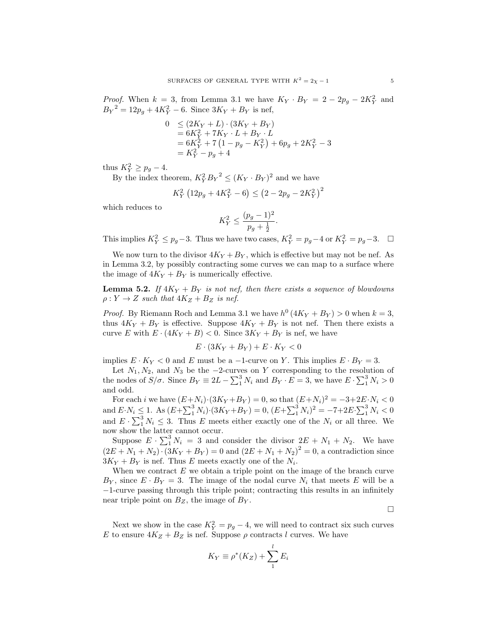*Proof.* When  $k = 3$ , from Lemma 3.1 we have  $K_Y \cdot B_Y = 2 - 2p_g - 2K_Y^2$  and  $B_Y^2 = 12p_g + 4K_Y^2 - 6$ . Since  $3K_Y + B_Y$  is nef,

$$
0 \le (2K_Y + L) \cdot (3K_Y + B_Y)
$$
  
= 6K<sub>Y</sub><sup>2</sup> + 7K<sub>Y</sub> \cdot L + B<sub>Y</sub> \cdot L  
= 6K<sub>Y</sub><sup>2</sup> + 7(1 - p<sub>g</sub> - K<sub>Y</sub><sup>2</sup>) + 6p<sub>g</sub> + 2K<sub>Y</sub><sup>2</sup> - 3  
= K<sub>Y</sub><sup>2</sup> - p<sub>g</sub> + 4

thus  $K_Y^2 \geq p_g - 4$ .

By the index theorem,  $K_Y^2 B_Y^2 \leq (K_Y \cdot B_Y)^2$  and we have

$$
K_Y^2 \left(12p_g + 4K_Y^2 - 6\right) \le \left(2 - 2p_g - 2K_Y^2\right)^2
$$

which reduces to

$$
K_Y^2 \le \frac{(p_g - 1)^2}{p_g + \frac{1}{2}}.
$$

This implies  $K_Y^2 \leq p_g-3$ . Thus we have two cases,  $K_Y^2 = p_g-4$  or  $K_Y^2 = p_g-3$ .  $\Box$ 

We now turn to the divisor  $4K_Y + B_Y$ , which is effective but may not be nef. As in Lemma 3.2, by possibly contracting some curves we can map to a surface where the image of  $4K_Y + B_Y$  is numerically effective.

**Lemma 5.2.** If  $4K_Y + B_Y$  is not nef, then there exists a sequence of blowdowns  $\rho: Y \to Z$  such that  $4K_Z + B_Z$  is nef.

*Proof.* By Riemann Roch and Lemma 3.1 we have  $h^0(4K_Y + B_Y) > 0$  when  $k = 3$ , thus  $4K_Y + B_Y$  is effective. Suppose  $4K_Y + B_Y$  is not nef. Then there exists a curve E with  $E \cdot (4K_Y + B) < 0$ . Since  $3K_Y + B_Y$  is nef, we have

$$
E \cdot (3K_Y + B_Y) + E \cdot K_Y < 0
$$

implies  $E \cdot K_Y < 0$  and E must be a -1-curve on Y. This implies  $E \cdot B_Y = 3$ .

Let  $N_1, N_2$ , and  $N_3$  be the  $-2$ -curves on Y corresponding to the resolution of the nodes of  $S/\sigma$ . Since  $B_Y \equiv 2L - \sum_1^3 N_i$  and  $B_Y \cdot E = 3$ , we have  $E \cdot \sum_1^3 N_i > 0$ and odd.

For each *i* we have  $(E+N_i) \cdot (3K_Y + B_Y) = 0$ , so that  $(E+N_i)^2 = -3 + 2E \cdot N_i < 0$ and  $E \cdot N_i \leq 1$ . As  $(E + \sum_{1}^{3} N_i) \cdot (3K_Y + B_Y) = 0$ ,  $(E + \sum_{1}^{3} N_i)^2 = -7 + 2E \cdot \sum_{1}^{3} N_i < 0$ and  $E \cdot \sum_{i=1}^{3} N_i \leq 3$ . Thus E meets either exactly one of the  $N_i$  or all three. We now show the latter cannot occur.

Suppose  $E \cdot \sum_{1}^{3} N_i = 3$  and consider the divisor  $2E + N_1 + N_2$ . We have  $(2E + N_1 + N_2) \cdot (3K_Y + B_Y) = 0$  and  $(2E + N_1 + N_2)^2 = 0$ , a contradiction since  $3K_Y + B_Y$  is nef. Thus E meets exactly one of the  $N_i$ .

When we contract  $E$  we obtain a triple point on the image of the branch curve  $B_Y$ , since  $E \cdot B_Y = 3$ . The image of the nodal curve  $N_i$  that meets E will be a −1-curve passing through this triple point; contracting this results in an infinitely near triple point on  $B_Z$ , the image of  $B_Y$ .

 $\Box$ 

Next we show in the case  $K_Y^2 = p_g - 4$ , we will need to contract six such curves E to ensure  $4K_Z + B_Z$  is nef. Suppose  $\rho$  contracts l curves. We have

$$
K_Y \equiv \rho^*(K_Z) + \sum_1^l E_i
$$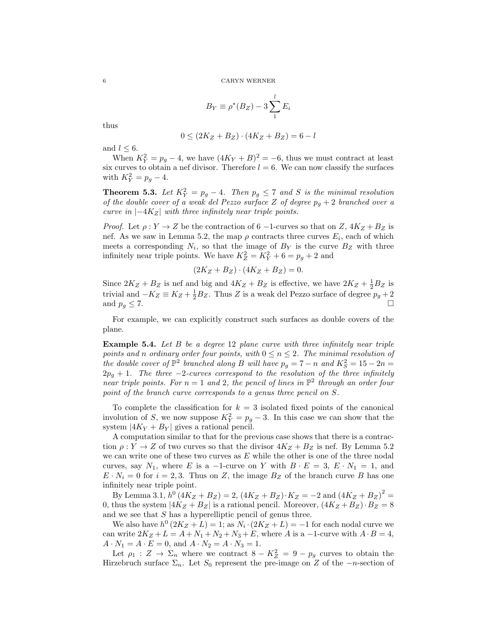$$
B_Y \equiv \rho^*(B_Z) - 3\sum_1^l E_i
$$

thus

$$
0 \le (2K_Z + B_Z) \cdot (4K_Z + B_Z) = 6 - l
$$

and  $l \leq 6$ .

When  $K_Y^2 = p_g - 4$ , we have  $(4K_Y + B)^2 = -6$ , thus we must contract at least six curves to obtain a nef divisor. Therefore  $l = 6$ . We can now classify the surfaces with  $K_Y^2 = p_g - 4$ .

**Theorem 5.3.** Let  $K_Y^2 = p_g - 4$ . Then  $p_g \leq 7$  and S is the minimal resolution of the double cover of a weak del Pezzo surface Z of degree  $p_q + 2$  branched over a curve in  $|-4K_Z|$  with three infinitely near triple points.

*Proof.* Let  $\rho: Y \to Z$  be the contraction of 6 -1-curves so that on Z,  $4K_Z + B_Z$  is nef. As we saw in Lemma 5.2, the map  $\rho$  contracts three curves  $E_i$ , each of which meets a corresponding  $N_i$ , so that the image of  $B<sub>Y</sub>$  is the curve  $B<sub>Z</sub>$  with three infinitely near triple points. We have  $K_Z^2 = K_Y^2 + 6 = p_g + 2$  and

$$
(2K_Z + B_Z) \cdot (4K_Z + B_Z) = 0.
$$

Since  $2K_Z + B_Z$  is nef and big and  $4K_Z + B_Z$  is effective, we have  $2K_Z + \frac{1}{2}B_Z$  is trivial and  $-K_Z \equiv K_Z + \frac{1}{2}B_Z$ . Thus Z is a weak del Pezzo surface of degree  $p_g + 2$ and  $p_g \leq 7$ .

For example, we can explicitly construct such surfaces as double covers of the plane.

**Example 5.4.** Let  $B$  be a degree 12 plane curve with three infinitely near triple points and n ordinary order four points, with  $0 \le n \le 2$ . The minimal resolution of the double cover of  $\mathbb{P}^2$  branched along B will have  $p_g = 7 - n$  and  $K_S^2 = 15 - 2n =$  $2p<sub>g</sub> + 1$ . The three -2-curves correspond to the resolution of the three infinitely near triple points. For  $n = 1$  and 2, the pencil of lines in  $\mathbb{P}^2$  through an order four point of the branch curve corresponds to a genus three pencil on S.

To complete the classification for  $k = 3$  isolated fixed points of the canonical involution of S, we now suppose  $K_Y^2 = p_g - 3$ . In this case we can show that the system  $|4K_Y + B_Y|$  gives a rational pencil.

A computation similar to that for the previous case shows that there is a contraction  $\rho: Y \to Z$  of two curves so that the divisor  $4K_Z + B_Z$  is nef. By Lemma 5.2 we can write one of these two curves as  $E$  while the other is one of the three nodal curves, say  $N_1$ , where E is a -1-curve on Y with  $B \cdot E = 3$ ,  $E \cdot N_1 = 1$ , and  $E \cdot N_i = 0$  for  $i = 2, 3$ . Thus on Z, the image  $B_Z$  of the branch curve B has one infinitely near triple point.

By Lemma 3.1,  $h^0(4K_Z + B_Z) = 2$ ,  $(4K_Z + B_Z) \cdot K_Z = -2$  and  $(4K_Z + B_Z)^2 =$ 0, thus the system  $|4K_Z + B_Z|$  is a rational pencil. Moreover,  $(4K_Z + B_Z) \cdot B_Z = 8$ and we see that  $S$  has a hyperelliptic pencil of genus three.

We also have  $h^0(2K_Z + L) = 1$ ; as  $N_i \cdot (2K_Z + L) = -1$  for each nodal curve we can write  $2K_Z + L = A + N_1 + N_2 + N_3 + E$ , where A is a -1-curve with  $A \cdot B = 4$ ,  $A \cdot N_1 = A \cdot E = 0$ , and  $A \cdot N_2 = A \cdot N_3 = 1$ .

Let  $\rho_1: Z \to \Sigma_n$  where we contract  $8 - K_Z^2 = 9 - p_g$  curves to obtain the Hirzebruch surface  $\Sigma_n$ . Let  $S_0$  represent the pre-image on Z of the  $-n$ -section of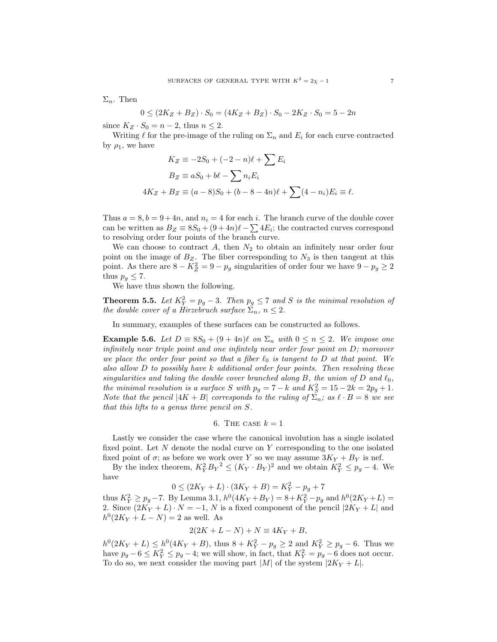$\Sigma_n$ . Then

$$
0 \le (2K_Z + B_Z) \cdot S_0 = (4K_Z + B_Z) \cdot S_0 - 2K_Z \cdot S_0 = 5 - 2n
$$

since  $K_Z \cdot S_0 = n - 2$ , thus  $n \leq 2$ .

Writing  $\ell$  for the pre-image of the ruling on  $\Sigma_n$  and  $E_i$  for each curve contracted by  $\rho_1$ , we have

$$
K_Z \equiv -2S_0 + (-2 - n)\ell + \sum E_i
$$
  
\n
$$
B_Z \equiv aS_0 + b\ell - \sum n_i E_i
$$
  
\n
$$
4K_Z + B_Z \equiv (a - 8)S_0 + (b - 8 - 4n)\ell + \sum (4 - n_i)E_i \equiv \ell.
$$

Thus  $a = 8, b = 9+4n$ , and  $n<sub>i</sub> = 4$  for each i. The branch curve of the double cover can be written as  $B_Z \equiv 8S_0 + (9+4n)\ell - \sum 4E_i$ ; the contracted curves correspond to resolving order four points of the branch curve.

We can choose to contract  $A$ , then  $N_2$  to obtain an infinitely near order four point on the image of  $B_Z$ . The fiber corresponding to  $N_3$  is then tangent at this point. As there are  $8 - K_Z^2 = 9 - p_g$  singularities of order four we have  $9 - p_g \ge 2$ thus  $p_g \leq 7$ .

We have thus shown the following.

**Theorem 5.5.** Let  $K_Y^2 = p_g - 3$ . Then  $p_g \le 7$  and S is the minimal resolution of the double cover of a Hirzebruch surface  $\Sigma_n$ ,  $n \leq 2$ .

In summary, examples of these surfaces can be constructed as follows.

Example 5.6. Let  $D = 8S_0 + (9 + 4n)\ell$  on  $\Sigma_n$  with  $0 \le n \le 2$ . We impose one infinitely near triple point and one infintely near order four point on D; moreover we place the order four point so that a fiber  $\ell_0$  is tangent to D at that point. We also allow  $D$  to possibly have k additional order four points. Then resolving these singularities and taking the double cover branched along B, the union of D and  $\ell_0$ , the minimal resolution is a surface S with  $p_g = 7 - k$  and  $K_S^2 = 15 - 2k = 2p_g + 1$ . Note that the pencil  $|4K + B|$  corresponds to the ruling of  $\Sigma_n$ ; as  $\ell \cdot B = 8$  we see that this lifts to a genus three pencil on S.

6. THE CASE 
$$
k = 1
$$

Lastly we consider the case where the canonical involution has a single isolated fixed point. Let  $N$  denote the nodal curve on  $Y$  corresponding to the one isolated fixed point of  $\sigma$ ; as before we work over Y so we may assume  $3K_Y + B_Y$  is nef.

By the index theorem,  $K_Y^2 B_Y^2 \le (K_Y \cdot B_Y)^2$  and we obtain  $K_Y^2 \le p_g - 4$ . We have

$$
0 \le (2K_Y + L) \cdot (3K_Y + B) = K_Y^2 - p_g + 7
$$

thus  $K_Y^2 \ge p_g - 7$ . By Lemma 3.1,  $h^0(4K_Y + B_Y) = 8 + K_Y^2 - p_g$  and  $h^0(2K_Y + L) =$ 2. Since  $(2K_Y + L) \cdot N = -1$ , N is a fixed component of the pencil  $|2K_Y + L|$  and  $h^0(2K_Y + L - N) = 2$  as well. As

$$
2(2K + L - N) + N \equiv 4K_Y + B,
$$

 $h^0(2K_Y+L) \leq h^0(4K_Y+B)$ , thus  $8+K_Y^2-p_g \geq 2$  and  $K_Y^2 \geq p_g-6$ . Thus we have  $p_g - 6 \le K_Y^2 \le p_g - 4$ ; we will show, in fact, that  $K_Y^2 = p_g - 6$  does not occur. To do so, we next consider the moving part |M| of the system  $|2K_Y + L|$ .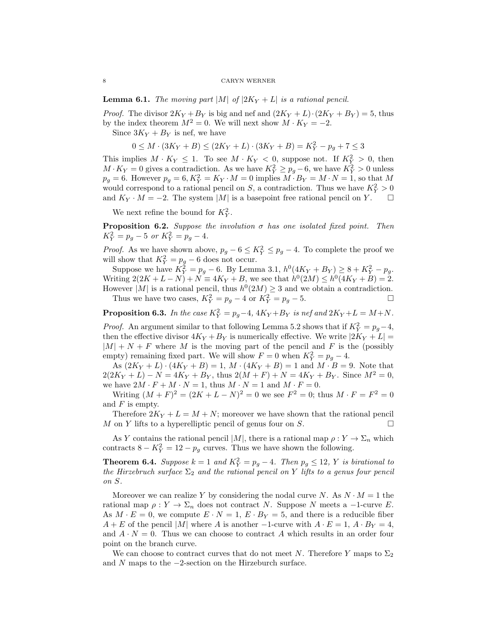**Lemma 6.1.** The moving part |M| of  $|2K_Y + L|$  is a rational pencil.

*Proof.* The divisor  $2K_Y + B_Y$  is big and nef and  $(2K_Y + L) \cdot (2K_Y + B_Y) = 5$ , thus by the index theorem  $M^2 = 0$ . We will next show  $M \cdot K_Y = -2$ .

Since  $3K_Y + B_Y$  is nef, we have

$$
0 \leq M \cdot (3K_Y+B) \leq (2K_Y+L) \cdot (3K_Y+B) = K_Y^2 - p_g + 7 \leq 3
$$

This implies  $M \cdot K_Y \leq 1$ . To see  $M \cdot K_Y < 0$ , suppose not. If  $K_Y^2 > 0$ , then  $M \cdot K_Y = 0$  gives a contradiction. As we have  $K_Y^2 \ge p_g - 6$ , we have  $K_Y^2 > 0$  unless  $p_g = 6$ . However  $p_g = 6$ ,  $K_Y^2 = K_Y \cdot M = 0$  implies  $M \cdot B_Y = M \cdot N = 1$ , so that M would correspond to a rational pencil on S, a contradiction. Thus we have  $K_Y^2 > 0$ and  $K_Y \cdot M = -2$ . The system |M| is a basepoint free rational pencil on Y.  $\Box$ 

We next refine the bound for  $K_Y^2$ .

**Proposition 6.2.** Suppose the involution  $\sigma$  has one isolated fixed point. Then  $K_Y^2 = p_g - 5 \text{ or } K_Y^2 = p_g - 4.$ 

*Proof.* As we have shown above,  $p_g - 6 \leq K_Y^2 \leq p_g - 4$ . To complete the proof we will show that  $K_Y^2 = p_g - 6$  does not occur.

Suppose we have  $K_Y^2 = p_g - 6$ . By Lemma 3.1,  $h^0(4K_Y + B_Y) \geq 8 + K_Y^2 - p_g$ . Writing  $2(2K + L - N) + N \equiv 4K_Y + B$ , we see that  $h^0(2M) \leq h^0(4K_Y + B) = 2$ . However |M| is a rational pencil, thus  $h^0(2M) \geq 3$  and we obtain a contradiction.

Thus we have two cases,  $K_Y^2 = p_g - 4$  or  $K_Y^2 = p_g - 5$ .

**Proposition 6.3.** In the case  $K_Y^2 = p_g - 4$ ,  $4K_Y + B_Y$  is nef and  $2K_Y + L = M + N$ .

*Proof.* An argument similar to that following Lemma 5.2 shows that if  $K_Y^2 = p_g - 4$ , then the effective divisor  $4K_Y + B_Y$  is numerically effective. We write  $|2K_Y + L|$  $|M| + N + F$  where M is the moving part of the pencil and F is the (possibly empty) remaining fixed part. We will show  $F = 0$  when  $K_Y^2 = p_g - 4$ .

As  $(2K_Y + L) \cdot (4K_Y + B) = 1$ ,  $M \cdot (4K_Y + B) = 1$  and  $M \cdot B = 9$ . Note that  $2(2K_Y + L) - N = 4K_Y + B_Y$ , thus  $2(M + F) + N = 4K_Y + B_Y$ . Since  $M^2 = 0$ , we have  $2M \cdot F + M \cdot N = 1$ , thus  $M \cdot N = 1$  and  $M \cdot F = 0$ .

Writing  $(M + F)^2 = (2K + L - N)^2 = 0$  we see  $F^2 = 0$ ; thus  $M \cdot F = F^2 = 0$ and  $F$  is empty.

Therefore  $2K_Y + L = M + N$ ; moreover we have shown that the rational pencil M on Y lifts to a hyperelliptic pencil of genus four on S.

As Y contains the rational pencil  $|M|$ , there is a rational map  $\rho: Y \to \Sigma_n$  which contracts  $8 - K_Y^2 = 12 - p_g$  curves. Thus we have shown the following.

**Theorem 6.4.** Suppose  $k = 1$  and  $K_Y^2 = p_g - 4$ . Then  $p_g \le 12$ , Y is birational to the Hirzebruch surface  $\Sigma_2$  and the rational pencil on Y lifts to a genus four pencil on S.

Moreover we can realize Y by considering the nodal curve N. As  $N \cdot M = 1$  the rational map  $\rho: Y \to \Sigma_n$  does not contract N. Suppose N meets a -1-curve E. As  $M \cdot E = 0$ , we compute  $E \cdot N = 1$ ,  $E \cdot B_Y = 5$ , and there is a reducible fiber  $A + E$  of the pencil |M| where A is another -1-curve with  $A \cdot E = 1$ ,  $A \cdot B_Y = 4$ , and  $A \cdot N = 0$ . Thus we can choose to contract A which results in an order four point on the branch curve.

We can choose to contract curves that do not meet N. Therefore Y maps to  $\Sigma_2$ and N maps to the  $-2$ -section on the Hirzeburch surface.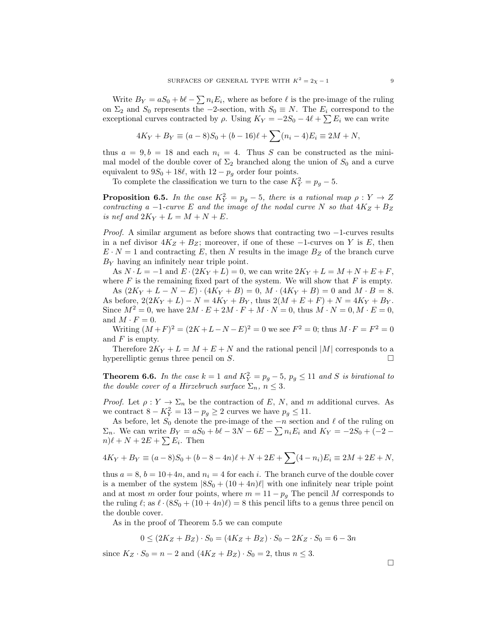Write  $B_Y = aS_0 + b\ell - \sum n_i E_i$ , where as before  $\ell$  is the pre-image of the ruling on  $\Sigma_2$  and  $S_0$  represents the  $-2$ -section, with  $S_0 \equiv N$ . The  $E_i$  correspond to the exceptional curves contracted by  $\rho$ . Using  $K_Y = -2S_0 - 4\ell + \sum E_i$  we can write

$$
4K_Y + B_Y \equiv (a-8)S_0 + (b-16)\ell + \sum (n_i - 4)E_i \equiv 2M + N,
$$

thus  $a = 9, b = 18$  and each  $n_i = 4$ . Thus S can be constructed as the minimal model of the double cover of  $\Sigma_2$  branched along the union of  $S_0$  and a curve equivalent to  $9S_0 + 18\ell$ , with  $12 - p_g$  order four points.

To complete the classification we turn to the case  $K_Y^2 = p_g - 5$ .

**Proposition 6.5.** In the case  $K_Y^2 = p_g - 5$ , there is a rational map  $\rho: Y \to Z$ contracting a  $-1$ -curve E and the image of the nodal curve N so that  $4K_Z + B_Z$ is nef and  $2K_Y + L = M + N + E$ .

*Proof.* A similar argument as before shows that contracting two  $-1$ -curves results in a nef divisor  $4K_Z + B_Z$ ; moreover, if one of these  $-1$ -curves on Y is E, then  $E \cdot N = 1$  and contracting E, then N results in the image  $B_Z$  of the branch curve  $B<sub>Y</sub>$  having an infinitely near triple point.

As  $N \cdot L = -1$  and  $E \cdot (2K_Y + L) = 0$ , we can write  $2K_Y + L = M + N + E + F$ , where  $F$  is the remaining fixed part of the system. We will show that  $F$  is empty.

As  $(2K_Y + L - N - E) \cdot (4K_Y + B) = 0$ ,  $M \cdot (4K_Y + B) = 0$  and  $M \cdot B = 8$ . As before,  $2(2K_Y + L) - N = 4K_Y + B_Y$ , thus  $2(M + E + F) + N = 4K_Y + B_Y$ . Since  $M^2 = 0$ , we have  $2M \cdot E + 2M \cdot F + M \cdot N = 0$ , thus  $M \cdot N = 0, M \cdot E = 0$ , and  $M \cdot F = 0$ .

Writing  $(M+F)^2 = (2K+L-N-E)^2 = 0$  we see  $F^2 = 0$ ; thus  $M \cdot F = F^2 = 0$ and  $F$  is empty.

Therefore  $2K_Y + L = M + E + N$  and the rational pencil |M| corresponds to a hyperelliptic genus three pencil on  $S$ .

**Theorem 6.6.** In the case  $k = 1$  and  $K_Y^2 = p_g - 5$ ,  $p_g \le 11$  and S is birational to the double cover of a Hirzebruch surface  $\Sigma_n$ ,  $n \leq 3$ .

*Proof.* Let  $\rho: Y \to \Sigma_n$  be the contraction of E, N, and m additional curves. As we contract  $8 - K_Y^2 = 13 - p_g \ge 2$  curves we have  $p_g \le 11$ .

As before, let  $S_0$  denote the pre-image of the  $-n$  section and  $\ell$  of the ruling on  $\Sigma_n$ . We can write  $B_Y = aS_0 + b\ell - 3N - 6E - \sum n_i E_i$  and  $K_Y = -2S_0 + (-2 - \ell)$  $n)\ell + N + 2E + \sum E_i$ . Then

$$
4K_Y + B_Y \equiv (a-8)S_0 + (b-8-4n)\ell + N + 2E + \sum (4-n_i)E_i \equiv 2M + 2E + N,
$$

thus  $a = 8$ ,  $b = 10+4n$ , and  $n<sub>i</sub> = 4$  for each i. The branch curve of the double cover is a member of the system  $|8S_0 + (10 + 4n)\ell|$  with one infinitely near triple point and at most m order four points, where  $m = 11 - p<sub>g</sub>$  The pencil M corresponds to the ruling  $\ell$ ; as  $\ell \cdot (8S_0 + (10 + 4n)\ell) = 8$  this pencil lifts to a genus three pencil on the double cover.

As in the proof of Theorem 5.5 we can compute

$$
0 \le (2K_Z + B_Z) \cdot S_0 = (4K_Z + B_Z) \cdot S_0 - 2K_Z \cdot S_0 = 6 - 3n
$$

since  $K_Z \cdot S_0 = n - 2$  and  $(4K_Z + B_Z) \cdot S_0 = 2$ , thus  $n \leq 3$ .